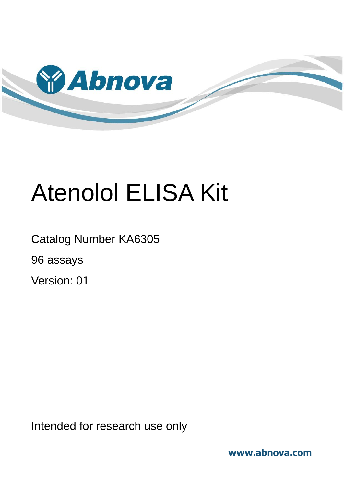

# Atenolol ELISA Kit

Catalog Number KA6305 96 assays

Version: 01

Intended for research use only

**www.abnova.com**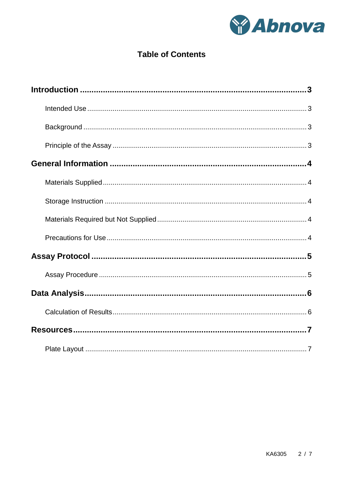

## **Table of Contents**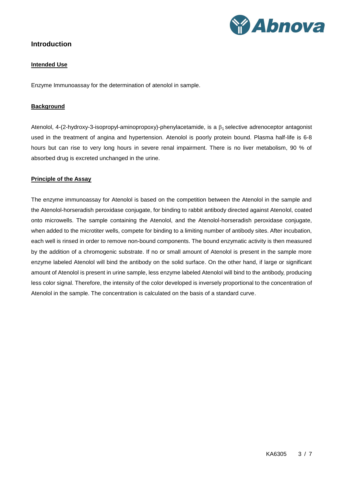

## <span id="page-2-1"></span><span id="page-2-0"></span>**Introduction**

#### **Intended Use**

<span id="page-2-2"></span>Enzyme Immunoassay for the determination of atenolol in sample.

#### **Background**

Atenolol, 4-(2-hydroxy-3-isopropyl-aminopropoxy)-phenylacetamide, is a  $\beta_1$  selective adrenoceptor antagonist used in the treatment of angina and hypertension. Atenolol is poorly protein bound. Plasma half-life is 6-8 hours but can rise to very long hours in severe renal impairment. There is no liver metabolism, 90 % of absorbed drug is excreted unchanged in the urine.

#### <span id="page-2-3"></span>**Principle of the Assay**

The enzyme immunoassay for Atenolol is based on the competition between the Atenolol in the sample and the Atenolol-horseradish peroxidase conjugate, for binding to rabbit antibody directed against Atenolol, coated onto microwells. The sample containing the Atenolol, and the Atenolol-horseradish peroxidase conjugate, when added to the microtiter wells, compete for binding to a limiting number of antibody sites. After incubation, each well is rinsed in order to remove non-bound components. The bound enzymatic activity is then measured by the addition of a chromogenic substrate. If no or small amount of Atenolol is present in the sample more enzyme labeled Atenolol will bind the antibody on the solid surface. On the other hand, if large or significant amount of Atenolol is present in urine sample, less enzyme labeled Atenolol will bind to the antibody, producing less color signal. Therefore, the intensity of the color developed is inversely proportional to the concentration of Atenolol in the sample. The concentration is calculated on the basis of a standard curve.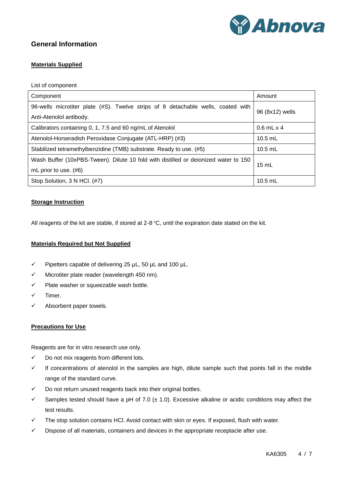

## <span id="page-3-1"></span><span id="page-3-0"></span>**General Information**

#### **Materials Supplied**

List of component

| Component                                                                                                   | Amount              |  |
|-------------------------------------------------------------------------------------------------------------|---------------------|--|
| 96-wells microtiter plate (#S). Twelve strips of 8 detachable wells, coated with<br>Anti-Atenolol antibody. | 96 (8x12) wells     |  |
| Calibrators containing 0, 1, 7.5 and 60 ng/mL of Atenolol                                                   | $0.6$ mL $\times$ 4 |  |
| Atenolol-Horseradish Peroxidase Conjugate (ATL-HRP) (#3)                                                    | $10.5$ mL           |  |
| Stabilized tetramethylbenzidine (TMB) substrate. Ready to use. (#5)                                         | $10.5$ mL           |  |
| Wash Buffer (10xPBS-Tween). Dilute 10 fold with distilled or deionized water to 150                         | $15 \text{ mL}$     |  |
| mL prior to use. $(\#6)$                                                                                    |                     |  |
| Stop Solution, 3 N HCl. (#7)                                                                                | $10.5$ mL           |  |

#### <span id="page-3-2"></span>**Storage Instruction**

<span id="page-3-3"></span>All reagents of the kit are stable, if stored at  $2-8$  °C, until the expiration date stated on the kit.

#### **Materials Required but Not Supplied**

- $\checkmark$  Pipetters capable of delivering 25 µL, 50 µL and 100 µL.
- $\checkmark$  Microtiter plate reader (wavelength 450 nm).
- $\checkmark$  Plate washer or squeezable wash bottle.
- $\checkmark$  Timer.
- <span id="page-3-4"></span> $\checkmark$  Absorbent paper towels.

#### **Precautions for Use**

Reagents are for in vitro research use only.

- $\checkmark$  Do not mix reagents from different lots.
- $\checkmark$  If concentrations of atenolol in the samples are high, dilute sample such that points fall in the middle range of the standard curve.
- $\checkmark$  Do not return unused reagents back into their original bottles.
- Samples tested should have a pH of 7.0 ( $\pm$  1.0). Excessive alkaline or acidic conditions may affect the test results.
- $\checkmark$  The stop solution contains HCl. Avoid contact with skin or eyes. If exposed, flush with water.
- $\checkmark$  Dispose of all materials, containers and devices in the appropriate receptacle after use.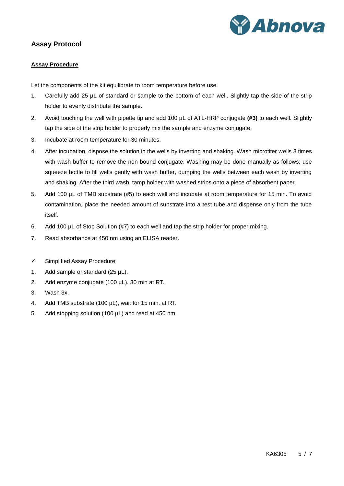

## <span id="page-4-1"></span><span id="page-4-0"></span>**Assay Protocol**

#### **Assay Procedure**

Let the components of the kit equilibrate to room temperature before use.

- 1. Carefully add 25 µL of standard or sample to the bottom of each well. Slightly tap the side of the strip holder to evenly distribute the sample.
- 2. Avoid touching the well with pipette tip and add 100 µL of ATL-HRP conjugate **(#3)** to each well. Slightly tap the side of the strip holder to properly mix the sample and enzyme conjugate.
- 3. Incubate at room temperature for 30 minutes.
- 4. After incubation, dispose the solution in the wells by inverting and shaking. Wash microtiter wells 3 times with wash buffer to remove the non-bound conjugate. Washing may be done manually as follows: use squeeze bottle to fill wells gently with wash buffer, dumping the wells between each wash by inverting and shaking. After the third wash, tamp holder with washed strips onto a piece of absorbent paper.
- 5. Add 100 µL of TMB substrate (#5) to each well and incubate at room temperature for 15 min. To avoid contamination, place the needed amount of substrate into a test tube and dispense only from the tube itself.
- 6. Add 100 µL of Stop Solution (#7) to each well and tap the strip holder for proper mixing.
- 7. Read absorbance at 450 nm using an ELISA reader.
- $\checkmark$  Simplified Assay Procedure
- 1. Add sample or standard  $(25 \mu L)$ .
- 2. Add enzyme conjugate (100 µL). 30 min at RT.
- 3. Wash 3x.
- 4. Add TMB substrate (100 µL), wait for 15 min. at RT.
- 5. Add stopping solution (100 µL) and read at 450 nm.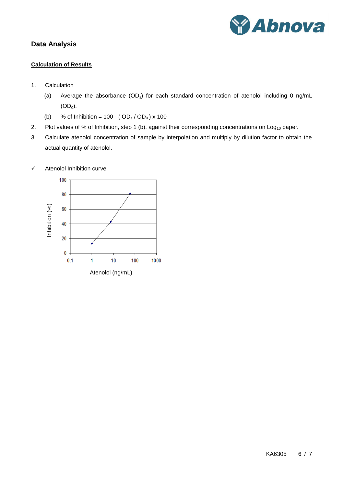

## <span id="page-5-1"></span><span id="page-5-0"></span>**Data Analysis**

#### **Calculation of Results**

- 1. Calculation
	- (a) Average the absorbance  $(OD<sub>s</sub>)$  for each standard concentration of atenolol including 0 ng/mL  $(OD<sub>0</sub>)$ .
	- (b) % of Inhibition =  $100 (OD_s / OD_0) \times 100$
- 2. Plot values of % of Inhibition, step 1 (b), against their corresponding concentrations on Log<sub>10</sub> paper.
- 3. Calculate atenolol concentration of sample by interpolation and multiply by dilution factor to obtain the actual quantity of atenolol.



 $\checkmark$  Atenolol Inhibition curve